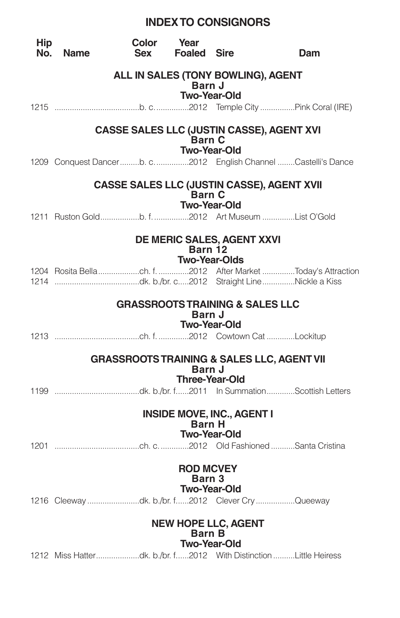# **INDEXTO CONSIGNORS**

| <b>Hip</b><br>No. | <b>Name</b> | Color<br>Sex                               | Year<br><b>Foaled Sire</b> |                                                          | Dam                                                             |
|-------------------|-------------|--------------------------------------------|----------------------------|----------------------------------------------------------|-----------------------------------------------------------------|
|                   |             | ALL IN SALES (TONY BOWLING), AGENT         | Barn J                     |                                                          |                                                                 |
|                   |             |                                            |                            | Two-Year-Old                                             |                                                                 |
|                   |             |                                            | <b>Barn C</b>              | <b>Two-Year-Old</b>                                      | <b>CASSE SALES LLC (JUSTIN CASSE), AGENT XVI</b>                |
|                   |             |                                            |                            |                                                          | 1209 Conquest Dancerb. c2012 English Channel Castelli's Dance   |
|                   |             |                                            | <b>Barn C</b>              |                                                          | CASSE SALES LLC (JUSTIN CASSE), AGENT XVII                      |
|                   |             |                                            |                            | <b>Two-Year-Old</b>                                      |                                                                 |
|                   |             |                                            | Barn 12                    | DE MERIC SALES, AGENT XXVI<br><b>Two-Year-Olds</b>       |                                                                 |
|                   |             |                                            |                            |                                                          |                                                                 |
|                   |             | <b>GRASSROOTS TRAINING &amp; SALES LLC</b> | Barn J                     |                                                          |                                                                 |
|                   |             |                                            |                            | <b>Two-Year-Old</b>                                      |                                                                 |
|                   |             |                                            | Barn J                     |                                                          | <b>GRASSROOTS TRAINING &amp; SALES LLC, AGENT VII</b>           |
|                   |             |                                            |                            | <b>Three-Year-Old</b>                                    |                                                                 |
|                   |             |                                            | <b>Barn H</b>              | <b>INSIDE MOVE, INC., AGENT I</b><br><b>Two-Year-Old</b> |                                                                 |
|                   |             |                                            |                            |                                                          |                                                                 |
|                   |             |                                            | <b>ROD MCVEY</b><br>Barn 3 | <b>Two-Year-Old</b>                                      |                                                                 |
|                   |             |                                            |                            |                                                          | 1216 Cleeway dk. b./br. f2012 Clever Cry Queeway                |
|                   |             |                                            | <b>Barn B</b>              | <b>NEW HOPE LLC, AGENT</b><br><b>Two-Year-Old</b>        |                                                                 |
|                   |             |                                            |                            |                                                          | 1212 Miss Hatterdk. b./br. f2012 With DistinctionLittle Heiress |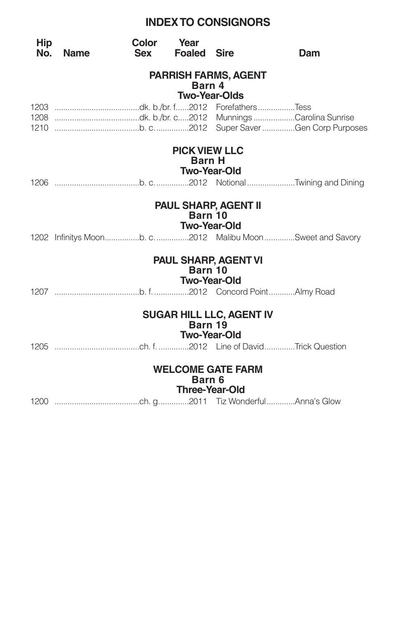# **INDEXTO CONSIGNORS**

| <b>Hip</b><br>No. | <b>Name</b> | Color Year<br><b>Sex</b> | <b>Foaled Sire</b>    |                                 | Dam                                                     |
|-------------------|-------------|--------------------------|-----------------------|---------------------------------|---------------------------------------------------------|
|                   |             |                          | Barn 4                | <b>PARRISH FARMS, AGENT</b>     |                                                         |
|                   |             |                          | <b>Two-Year-Olds</b>  |                                 |                                                         |
|                   |             |                          |                       |                                 |                                                         |
|                   |             |                          |                       |                                 |                                                         |
|                   |             |                          |                       |                                 |                                                         |
|                   |             |                          | <b>PICK VIEW LLC</b>  |                                 |                                                         |
|                   |             |                          | <b>Barn H</b>         | <b>Two-Year-Old</b>             |                                                         |
|                   |             |                          |                       |                                 |                                                         |
|                   |             |                          |                       |                                 |                                                         |
|                   |             |                          | Barn 10               | <b>PAUL SHARP, AGENT II</b>     |                                                         |
|                   |             |                          | <b>Two-Year-Old</b>   |                                 |                                                         |
|                   |             |                          |                       |                                 | 1202 Infinitys Moonb. c2012 Malibu MoonSweet and Savory |
|                   |             |                          | Barn 10               | <b>PAUL SHARP, AGENT VI</b>     |                                                         |
|                   |             |                          | <b>Two-Year-Old</b>   |                                 |                                                         |
|                   |             |                          |                       |                                 |                                                         |
|                   |             |                          |                       |                                 |                                                         |
|                   |             |                          |                       | <b>SUGAR HILL LLC, AGENT IV</b> |                                                         |
|                   |             |                          | Barn 19               |                                 |                                                         |
|                   |             |                          | <b>Two-Year-Old</b>   |                                 |                                                         |
|                   |             |                          |                       |                                 |                                                         |
|                   |             |                          |                       | <b>WELCOME GATE FARM</b>        |                                                         |
|                   |             |                          | Barn 6                |                                 |                                                         |
|                   |             |                          | <b>Three-Year-Old</b> |                                 |                                                         |
|                   |             |                          |                       |                                 |                                                         |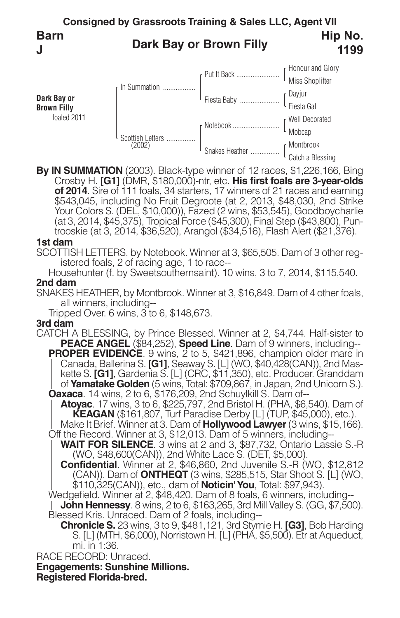

**By IN SUMMATION** (2003). Black-type winner of 12 races, \$1,226,166, Bing Crosby H. **[G1]** (DMR, \$180,000)-ntr, etc. **His first foals are 3-year-olds of 2014**. Sire of 111 foals, 34 starters, 17 winners of 21 races and earning \$543,045, including No Fruit Degroote (at 2, 2013, \$48,030, 2nd Strike Your Colors S. (DEL, \$10,000)), Fazed (2 wins, \$53,545), Goodboycharlie (at 3, 2014, \$45,375), Tropical Force (\$45,300), Final Step (\$43,800), Pun-<br>trooskie (at 3, 2014, \$36,520), Arangol (\$34,516), Flash Alert (\$21,376).

### **1st dam**

SCOTTISH LETTERS, by Notebook. Winner at 3, \$65,505. Dam of 3 other registered foals, 2 of racing age, 1 to race--

Househunter (f. by Sweetsouthernsaint). 10 wins, 3 to 7, 2014, \$115,540. **2nd dam**

SNAKES HEATHER, by Montbrook. Winner at 3, \$16,849. Dam of 4 other foals,<br>all winners, including--<br>Tripped Over. 6 wins, 3 to 6, \$148,673.

### **3rd dam**

CATCH A BLESSING, by Prince Blessed. Winner at 2, \$4,744. Half-sister to **PEACE ANGEL** (\$84,252), **Speed Line**. Dam of 9 winners, including-**-**<br>**PROPER EVIDENCE**. 9 wins, 2 to 5, \$421,896, champion older mare in<br>|| Canada, Ballerina S. **[G1]**, Seaway S. [L] (WO, \$40,428(CAN)), 2nd Mas-Canada, Ballerina S. **[G1]**, Seaway S. [L] (WO, \$40,428(CAN)), 2nd Mas- kette S. **[G1]**, Gardenia S. [L] (CRC, \$11,350), etc. Producer. Granddam || of **Yamatake Golden** (5 wins, Total: \$709,867, in Japan, 2nd Unicorn S.).<br>**Oaxaca**. 14 wins, 2 to 6, \$176,209, 2nd Schuylkill S. Dam of--<br>|| **Atoyac**. 17 wins, 3 to 6, \$225,797, 2nd Bristol H. (PHA, \$6,540). Dam of

**KEAGAN** (\$161,807, Turf Paradise Derby [L] (TUP, \$45,000), etc.).<br> **KEAGAN** (\$161,807, Turf Paradise Derby [L] (TUP, \$45,000), etc.).<br>
Make It Brief. Winner at 3. Dam of **Hollywood Lawyer** (3 wins, \$15,166).<br>
Off the Reco

**WAIT FOR SILENCE**. 3 wins at 2 and 3, \$87,732, Ontario Lassie S.-R (WO, \$48,600(CAN)), 2nd White Lace S. (DET, \$5,000).

**Confidential**. Winner at 2, \$46,860, 2nd Juvenile S.-R (WO, \$12,812 (CAN)). Dam of **ONTHEQT** (3 wins, \$285,515, Star Shoot S. [L] (WO, \$110,325(CAN)), etc., dam of **Noticin'You**, Total: \$97,943). Wedgefield. Winner at 2, \$48,420. Dam of <sup>8</sup> foals, <sup>6</sup> winners, including--

Wedgefield. Winner at 2, \$48,420. Dam of 8 foals, 6 winners, including--<br>|| **John Hennessy**. 8 wins, 2 to 6, \$163,265, 3rd Mill Valley S. (GG, \$7,500).<br>Blessed Kris. Unraced. Dam of 2 foals, including--

**Chronicle S.** 23 wins, 3 to 9, \$481,121, 3rd Stymie H. **[G3]**, Bob Harding S. [L] (MTH, \$6,000), Norristown H. [L] (PHA, \$5,500). Etr at Aqueduct, mi. in 1:36.

RACE RECORD: Unraced.

**Engagements: Sunshine Millions.**

**Registered Florida-bred.**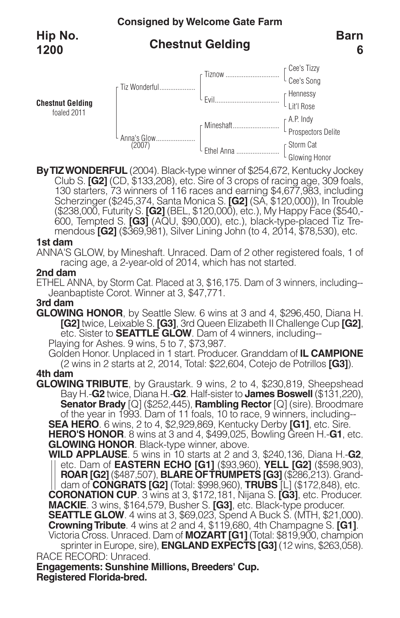foaled 2011

# **Chestnut Gelding**



**ByTIZWONDERFUL** (2004). Black-type winner of \$254,672, Kentucky Jockey Club S. **[G2]** (CD, \$133,208), etc. Sire of 3 crops of racing age, 309 foals, 130 starters, 73 winners of 116 races and earning \$4,677,983, including Scherzinger (\$245,374, Santa Monica S. **[G2]** (SA, \$120,000)), In Trouble 600, Tempted S. **[G3]** (AQU, \$90,000), etc.), black-type-placed Tiz Tre-<br>mendous **[G2]** (\$369,981), Silver Lining John (to 4, 2014, \$78,530), etc.

### **1st dam**

ANNA'S GLOW, by Mineshaft. Unraced. Dam of 2 other registered foals, 1 of racing age, a 2-year-old of 2014, which has not started.

### **2nd dam**

ETHEL ANNA, by Storm Cat. Placed at 3, \$16,175. Dam of 3 winners, including-- Jeanbaptiste Corot. Winner at 3, \$47,771.

**3rd dam** [G2] twice, Leixable S. [G3], 3rd Queen Elizabeth II Challenge Cup [G2], etc. Sister to **SEATTLE GLOW**. Dam of 4 winners, including--<br>Playing for Ashes. 9 wins, 5 to 7, \$73,987.<br>Golden Honor. Unplaced in 1 start. Producer.

(2 wins in <sup>2</sup> starts at 2, 2014, Total: \$22,604, Cotejo de Potrillos **[G3]**). **4th dam**

**GLOWING TRIBUTE**, by Graustark. 9 wins, 2 to 4, \$230,819, Sheepshead **Senator Brady** [Q] (\$252,445), **Rambling Rector** [Q] (sire). Broodmare of the year in 1993. Dam of 11 foals, 10 to race, 9 winners, including-- SEA HERO. 6 wins, 2 to 4, \$2,929,869, Kentucky Derby [G1], etc. Sire.<br>HERO'S HONOR. 8 wins at 3 and 4, \$499,025, Bowling Green H.-G1, etc.<br>GLOWING HONOR. Black-type winner, above.

RACE RECORD: Unraced. **WILD APPLAUSE**. 5 wins in 10 starts at 2 and 3, \$240,136, Diana H.-**G2**, etc. Dam of **EASTERN ECHO [G1]** (\$93,960), **YELL [G2]** (\$598,903), **ROAR [G2]** (\$487,507), **BLARE OFTRUMPETS [G3]** (\$286,213). Grand- dam of **CONGRATS [G2]** (Total: \$998,960), **TRUBS** [L] (\$172,848), etc. **CORONATION CUP**. 3 wins at 3, \$172,181, Nijana S. **[G3]**, etc. Producer. **MACKIE**. 3 wins, \$164,579, Busher S. **[G3]**, etc. Black-type producer. **SEATTLE GLOW**. 4 wins at 3, \$69,023, Spend A Buck S. (MTH, \$21,000). **Crowning Tribute**. 4 wins at 2 and 4, \$119,680, 4th Champagne S. **[G1]**. Victoria Cross. Unraced. Dam of **MOZART** [G1] (Total: \$819,900, champion sprinter in Europe, sire), **ENGLAND EXPECTS [G3]** (12 wins, \$263,058).

**Registered Florida-bred. Engagements: Sunshine Millions, Breeders' Cup.**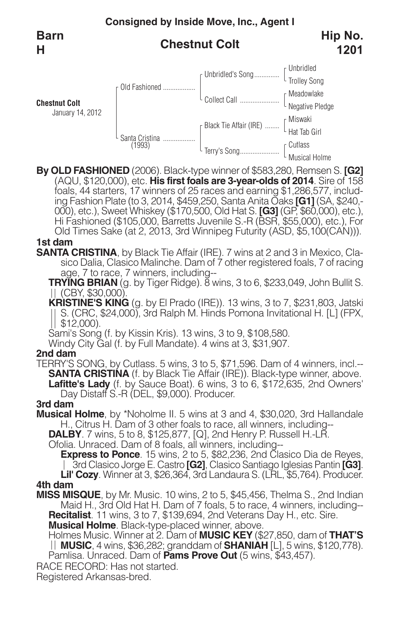**Barn H**

# **Chestnut Colt**



**By OLD FASHIONED** (2006). Black-type winner of \$583,280, Remsen S. **[G2]** (AQU, \$120,000), etc. **His first foals are 3-year-olds of 2014**. Sire of 158 foals, 44 starters, 17 winners of 25 races and earning \$1,286,577, including Fashion Plate (to 3, 2014, \$459,250, Santa Anita Oaks **[G1]** (SA, \$240,-<br>000), etc.), Sweet Whiskey (\$170,500, Old Hat S. **[G3]** (GP, \$60,000), etc.),<br>Hi Fashioned (\$105,000, Barretts Juvenile S.-R (BSR, \$55,000), etc. Old Times Sake (at 2, 2013, 3rd Winnipeg Futurity (ASD, \$5,100(CAN))).

### **1st dam**

**SANTA CRISTINA**, by Black Tie Affair (IRE). 7 wins at 2 and 3 in Mexico, Clasico Dalia, Clasico Malinche. Dam of 7 other registered foals, 7 of racing age, 7 to race, 7 winners, including--

**TRYING BRIAN** (g. by Tiger Ridge). 8 wins, 3 to 6, \$233,049, John Bullit S. (CBY, \$30,000).

**KRISTINE'S KING** (g. by El Prado (IRE)). 13 wins, 3 to 7, \$231,803, Jatski S. (CRC, \$24,000), 3rd Ralph M. Hinds Pomona Invitational H. [L] (FPX,  $||$  \$12,000).

Sami's Song (f. by Kissin Kris). 13 wins, 3 to 9, \$108,580.

Windy City Gal (f. by Full Mandate). 4 wins at 3, \$31,907.

## **2nd dam**

TERRY'S SONG, by Cutlass. 5 wins, 3 to 5, \$71,596. Dam of 4 winners, incl.-- **SANTA CRISTINA** (f. by Black Tie Affair (IRE)). Black-type winner, above. **Lafitte's Lady** (f. by Sauce Boat). 6 wins, 3 to 6, \$172,635, 2nd Owners' Day Distaff S.-R (DEL, \$9,000). Producer.

## **3rd dam**

- **Musical Holme**, by \*Noholme II. 5 wins at 3 and 4, \$30,020, 3rd Hallandale H., Citrus H. Dam of 3 other foals to race, all winners, including--
	- **DALBY**. 7 wins, 5 to 8, \$125,877, [Q], 2nd Henry P. Russell H.-LR.

Ofolia. Unraced. Dam of 8 foals, all winners, including--

**Express to Ponce**. 15 wins, 2 to 5, \$82,236, 2nd Clasico Dia de Reyes, 3rd Clasico Jorge E. Castro **[G2]**, Clasico Santiago Iglesias Pantin **[G3]**. **Lil' Cozy**. Winner at 3, \$26,364, 3rd Landaura S. (LRL, \$5,764). Producer. **4th dam**

**MISS MISQUE**, by Mr. Music. 10 wins, 2 to 5, \$45,456, Thelma S., 2nd Indian Maid H., 3rd Old Hat H. Dam of 7 foals, 5 to race, 4 winners, including-- **Recitalist**. 11 wins, 3 to 7, \$139,694, 2nd Veterans Day H., etc. Sire.

**Musical Holme**. Black-type-placed winner, above.

Holmes Music. Winner at 2. Dam of **MUSIC KEY** (\$27,850, dam of **THAT'S MUSIC**, 4 wins, \$36,282; granddam of **SHANIAH** [L], 5 wins, \$120,778). Pamlisa. Unraced. Dam of **Pams Prove Out** (5 wins, \$43,457).

RACE RECORD: Has not started.

Registered Arkansas-bred.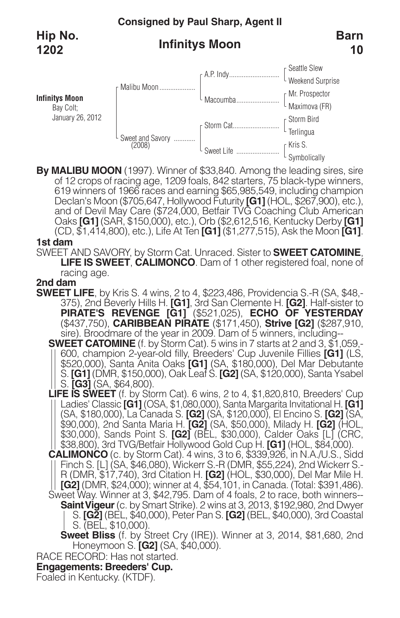# **Consigned by Paul Sharp, Agent II**

**Hip No. 1202**

# **Infinitys Moon**



**By MALIBU MOON** (1997). Winner of \$33,840. Among the leading sires, sire of 12 crops of racing age, 1209 foals, 842 starters, 75 black-type winners, 619 winners of 1966 races and earning \$65,985,549, including champion Declan's Moon (\$705,647, Hollywood Futurity **[G1]** (HOL, \$267,900), etc.), and of Devil May Care (\$724,000, Betfair TVG Coaching Club American Oaks **[G1]** (SAR, \$150,000), etc.), Orb (\$2,612,516, Kentucky Derby **[G1]** (CD, \$1,414,800), etc.), Life At Ten **[G1]** (\$1,277,515), Ask the Moon **[G1]**.

### **1st dam**

SWEET AND SAVORY, by Storm Cat. Unraced. Sister to **SWEET CATOMINE**, **LIFE IS SWEET**, **CALIMONCO**. Dam of 1 other registered foal, none of racing age.

**2nd dam S75)**, 2nd Beverly Hills H. **[G1]**, 3rd San Clemente H. **[G2]**. Half-sister to **PIRATE'S REVENGE [G1]** (\$521,025), **ECHO OF YESTERDAY** (\$437,750), **CARIBBEAN PIRATE** (\$171,450), **Strive [G2]** (\$287,910, sire). Broodmare of the year in 2009. Dam of <sup>5</sup> winners, including--

**SWEET CATOMINE** (f. by Storm Cat). 5 wins in 7 starts at 2 and 3,  $\frac{1}{2}$ , 059,-<br>| 600, champion 2-year-old filly, Breeders' Cup Juvenile Fillies [G1] (LS,<br>| \$520,000), Santa Anita Oaks [G1] (SA, \$180,000), Del Mar Deb S. **[G1]** (DMR, \$150,000), Oak Leaf S. **[G2]** (SA, \$120,000), Santa Ysabel S. **[G3]** (SA, \$64,800).

**LIFE IS SWEET** (f. by Storm Cat). 6 wins, 2 to 4, \$1,820,810, Breeders' Cup Ladies' Classic **[G1]** (OSA, \$1,080,000), Santa Margarita Invitational H. **[G1]** (SA, \$180,000), La Canada S. **[G2]** (SA, \$120,000), El Encino S. **[G2]** (SA, \$90,000), 2nd Santa Maria H. **[G2]** (SA, \$50,000), Milady H. **[G2]** (HOL, \$30,000), Sands Point S. **[G2]** (BEL, \$30,000), Calder Oaks [L] (CRC, \$38,800), 3rd TVG/Betfair Hollywood Gold Cup H. **[G1]** (HOL, \$84,000).

**CALIMONCO** (c. by Storm Cat). 4 wins, 3 to 6, \$339,926, in N.A./U.S., Sidd Finch S. [L] (SA, \$46,080), Wickerr S.-R (DMR, \$55,224), 2nd Wickerr S.- R (DMR, \$17,740), 3rd Citation H. **[G2]** (HOL, \$30,000), Del Mar Mile H. **[G2]** (DMR, \$24,000); winner at 4, \$54,101, in Canada. (Total: \$391,486). Sweet Way. Winner at 3, \$42,795. Dam of 4 foals, 2 to race, both winners-- **SaintVigeur**(c. by Smart Strike). 2 wins at 3, 2013, \$192,980, 2nd Dwyer S. **[G2]** (BEL, \$40,000), Peter Pan S. **[G2]** (BEL, \$40,000), 3rd Coastal S. (BEL, \$10,000).

**Sweet Bliss** (f. by Street Cry (IRE)). Winner at 3, 2014, \$81,680, 2nd Honeymoon S. **[G2]** (SA, \$40,000).

RACE RECORD: Has not started.

# **Engagements: Breeders' Cup.**

Foaled in Kentucky. (KTDF).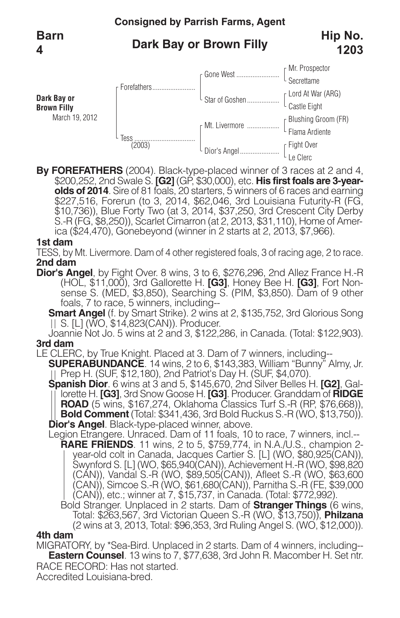### **Consigned by Parrish Farms, Agent Dark Bay or Brown Filly** Mr. Prospector **Secrettame** Lord At War (ARG) Castle Eight Blushing Groom (FR) Flama Ardiente Fight Over Le Clerc Gone West ........................ Star of Goshen .................. Mt. Livermore .................. Dior's Angel...................... Forefathers........................ Tess .................................. (2003) **Dark Bay or Brown Filly** March 19, 2012 **Barn 4 Hip No. 1203**

**By FOREFATHERS** (2004). Black-type-placed winner of 3 races at 2 and 4, \$200,252, 2nd Swale S. **[G2]** (GP, \$30,000), etc. **His first foals are 3-yearolds of 2014**. Sire of 81 foals, 20 starters, 5 winners of 6 races and earning \$227,516, Forerun (to 3, 2014, \$62,046, 3rd Louisiana Futurity-R (FG, \$10,736)), Blue Forty Two (at 3, 2014, \$37,250, 3rd Crescent City Derby S.-R (FG, \$8,250)), Scarlet Cimarron (at 2, 2013, \$31,110), Home of Amer-<br>ica (\$24,470), Gonebeyond (winner in 2 starts at 2, 2013, \$7,966).

### **1st dam**

TESS, by Mt. Livermore. Dam of 4 other registered foals, 3 of racing age, 2 to race. **2nd dam**

**Dior's Angel**, by Fight Over. 8 wins, 3 to 6, \$276,296, 2nd Allez France H.-R<br>(HOL, \$11,000), 3rd Gallorette H. **[G3]**, Honey Bee H. **[G3]**, Fort Nonsense S. (MED, \$3,850), Searching S. (PIM, \$3,850). Dam of 9 other foals, 7 to race, 5 winners, including--

**Smart Angel** (f. by Smart Strike). 2 wins at 2, \$135,752, 3rd Glorious Song | | S. [L] (WO, \$14,823(CAN)). Producer.

Joannie Not Jo. 5 wins at 2 and 3, \$122,286, in Canada. (Total: \$122,903). **3rd dam**

LE CLERC, by True Knight. Placed at 3. Dam of 7 winners, including--

**SUPERABUNDANCE**. <sup>14</sup> wins, <sup>2</sup> to 6, \$143,383, William "Bunny" Almy, Jr. Prep H. (SUF, \$12,180), 2nd Patriot's Day H. (SUF, \$4,070).

**Spanish Dior**. <sup>6</sup> wins at <sup>3</sup> and 5, \$145,670, 2nd Silver Belles H. **[G2]**, Gal- lorette H. **[G3]**, 3rd Snow Goose H. **[G3]**. Producer. Granddam of **RIDGE** lorette H. **[G3]**, 3rd Snow Goose H. **[G3]**. Producer. Granddam of **RIDGE**<br> **ROAD** (5 wins, \$167,274, Oklahoma Classics Turf S.-R (RP, \$76,668)),<br> **Bold Comment** (Total: \$341,436, 3rd Bold Ruckus S.-R (WO, \$13,750)).<br> **Dio** 

- **RARE FRIENDS**. 11 wins, 2 to 5, \$759,774, in N.A./U.S., champion 2 year-old colt in Canada, Jacques Cartier S. [L] (WO, \$80,925(CAN)), Swynford S. [L] (WO, \$65,940(CAN)), Achievement H.-R (WO, \$98,820 (CAN)), Vandal S.-R (WO, \$89,505(CAN)), Afleet S.-R (WO, \$63,600 (CAN)), Simcoe S.-R (WO, \$61,680(CAN)), Parnitha S.-R (FE, \$39,000 (CAN)), etc.; winner at 7, \$15,737, in Canada. (Total: \$772,992).
- Bold Stranger. Unplaced in 2 starts. Dam of **Stranger Things** (6 wins, Total: \$263,567, 3rd Victorian Queen S.-R (WO, \$13,750)), **Philzana** (2 wins at 3, 2013, Total: \$96,353, 3rd Ruling Angel S. (WO, \$12,000)).

### **4th dam**

RACE RECORD: Has not started. MIGRATORY, by \*Sea-Bird. Unplaced in 2 starts. Dam of 4 winners, including-- **Eastern Counsel**. 13 wins to 7, \$77,638, 3rd John R. Macomber H. Set ntr.

Accredited Louisiana-bred.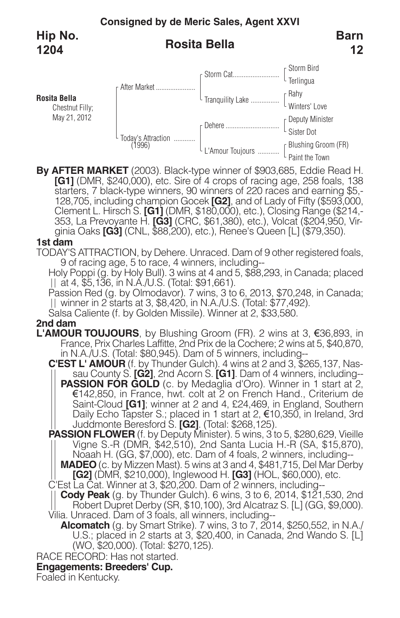

**By AFTER MARKET** (2003). Black-type winner of \$903,685, Eddie Read H. **[G1]** (DMR, \$240,000), etc. Sire of 4 crops of racing age, 258 foals, 138 starters, 7 black-type winners, 90 winners of 220 races and earning \$5,- 128,705, including champion Gocek **[G2]**, and of Lady of Fifty (\$593,000, Clement L. Hirsch S. **[G1]** (DMR, \$180,000), etc.), Closing Range (\$214,-353, La Prevoyante H. **[G3]** (CRC, \$61,380), etc.), Volcat (\$204,950, Virgi

L'Amour Toujours ............

Blushing Groom (FR) Paint the Town

### **1st dam**

TODAY'S ATTRACTION, by Dehere. Unraced. Dam of 9 other registered foals, 9 of racing age, 5 to race, 4 winners, including--

Holy Poppi (g. by Holy Bull). 3 wins at 4 and 5, \$88,293, in Canada; placed at 4, \$5,136, in N.A./U.S. (Total: \$91,661). Passion Red (g. by Olmodavor). <sup>7</sup> wins, <sup>3</sup> to 6, 2013, \$70,248, in Canada;

winner in <sup>2</sup> starts at 3, \$8,420, in N.A./U.S. (Total: \$77,492). Salsa Caliente (f. by Golden Missile). Winner at 2, \$33,580.

### **2nd dam**

- **L'AMOUR TOUJOURS**, by Blushing Groom (FR). 2 wins at 3, €36,893, in France, Prix Charles Laffitte, 2nd Prix de la Cochere; <sup>2</sup> wins at 5, \$40,870, in N.A./U.S. (Total: \$80,945). Dam of <sup>5</sup> winners, including--
	- **C'EST L' AMOUR** (f. by Thunder Gulch). 4 wins at 2 and 3, \$265,137, Nassau County S. **[G2]**, 2nd Acorn S. **[G1]**. Dam of 4 winners, including-- **PASSION FOR GOLD** (c. by Medaglia d'Oro). Winner in 1 start at 2, €142,850, in France, hwt. colt at 2 on French Hand., Criterium de Saint-Cloud **[G1]**; winner at 2 and 4, £24,469, in England, Southern Daily Echo Tapster S.; placed in 1 start at 2, €10,350, in Ireland, 3rd Juddmonte Beresford S. **[G2]**. (Total: \$268,125).
	- **PASSION FLOWER** (f. by Deputy Minister). 5 wins, 3 to 5, \$280,629, Vieille Vigne S.-R (DMR, \$42,510), 2nd Santa Lucia H.-R (SA, \$15,870), Noaah H. (GG, \$7,000), etc. Dam of <sup>4</sup> foals, <sup>2</sup> winners, including--
		- **MADEO** (c. by Mizzen Mast). 5 wins at 3 and 4, \$481,715, Del Mar Derby **[G2]** (DMR, \$210,000), Inglewood H. **[G3]** (HOL, \$60,000), etc.

C'Est La Cat. Winner at 3, \$20,200. Dam of 2 winners, including--

**Cody Peak** (g. by Thunder Gulch). 6 wins, 3 to 6, 2014, \$121,530, 2nd Robert Dupret Derby (SR, \$10,100), 3rd Alcatraz S. [L] (GG, \$9,000). Vilia. Unraced. Dam of 3 foals, all winners, including--

**Alcomatch** (g. by Smart Strike). 7 wins, 3 to 7, 2014, \$250,552, in N.A./ U.S.; placed in 2 starts at 3, \$20,400, in Canada, 2nd Wando S. [L] (WO, \$20,000). (Total: \$270,125).

RACE RECORD: Has not started.

## **Engagements: Breeders' Cup.**

Foaled in Kentucky.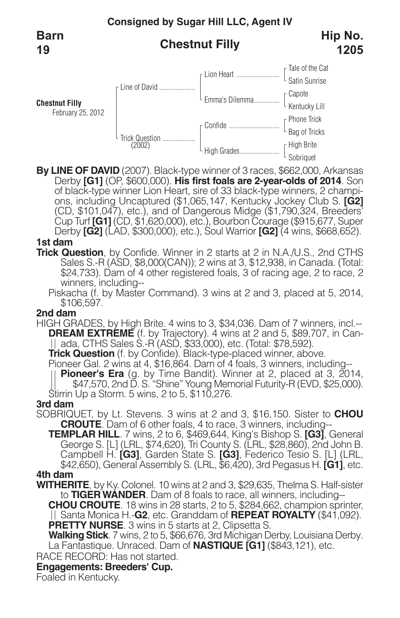**Barn 19**

# **Chestnut Filly**



**By LINE OF DAVID** (2007). Black-type winner of 3 races, \$662,000, Arkansas Derby **[G1]** (OP, \$600,000). **His first foals are 2-year-olds of 2014**. Son of black-type winner Lion Heart, sire of 33 black-type winners, 2 champions, including Uncaptured (\$1,065,147, Kentucky Jockey Club S. **[G2]** (CD, \$101,047), etc.), and of Dangerous Midge (\$1,790,324, Breeders<sup>t</sup><br>Cup Turf **[G1]** (CD, \$1,620,000), etc.), Bourbon Courage (\$915,677, Super Cup Turf **[G1]** (CD, \$1,620,000), etc.), Bourbon Courage (\$915,677, Super<br>Derby **[G2]** (LAD, \$300,000), etc.), Soul Warrior **[G2]** (4 wins, \$668,652).

## **1st dam**

**Trick Question**, by Confide. Winner in 2 starts at 2 in N.A./U.S., 2nd CTHS Sales S.-R (ASD, \$8,000(CAN)); 2 wins at 3, \$12,938, in Canada. (Total: \$24,733). Dam of 4 other registered foals, 3 of racing age, 2 to race, 2

winners, including--<br>Piskacha (f. by Master Command). 3 wins at 2 and 3, placed at 5, 2014,<br>\$106,597.

### **2nd dam**

HIGH GRADES, by High Brite. 4 wins to 3, \$34,036. Dam of 7 winners, incl.-- **DREAM EXTRÉME** (f. by Trajectory). 4 wins at 2 and 5, \$89,707, in Can-<br>|| ada, CTHS Sales S.-R (ASD, \$33,000), etc. (Total: \$78,592).

**Trick Question** (f. by Confide). Black-type-placed winner, above.<br>Pioneer Gal. 2 wins at 4, \$16,864. Dam of 4 foals, 3 winners, including--

**Pioneer's Era** (g. by Time Bandit). Winner at 2, placed at 3, 2014, \$47,570, 2nd D. S. "Shine" Young Memorial Futurity-R (EVD, \$25,000). Stirrin Up a Storm. 5 wins, 2 to 5, \$110,276.

### **3rd dam**

- SOBRIQUET, by Lt. Stevens. 3 wins at 2 and 3, \$16,150. Sister to **CHOU**
- **TEMPLAR HILL**. 7 wins, 2 to 6, \$469,644, King's Bishop S. **[G3]**, General George S. [L] (LRL, \$74,620), Tri County S. (LRL, \$28,860), 2nd John B.<br>Campbell H. **[G3]**, Garden State S. **[G3]**, Federico Tesio S. [L] (LRL,<br>\$42,650), General Assembly S. (LRL, \$6,420), 3rd Pegasus H. **[G1]**, etc.<br>**4th**

- **WITHERITE**, by Ky. Colonel. 10 wins at 2 and 3, \$29,635, Thelma S. Half-sister
	- **CHOU CROUTE**. 18 wins in 28 starts, 2 to 5, \$284,662, champion sprinter, || Santa Monica H.-**G2**, etc. Granddam of **REPEAT ROYALTY** (\$41,092). **PRETTY NURSE**. 3 wins in 5 starts at 2, Clipsetta S.

**Walking Stick**. 7 wins, 2 to 5, \$66,676, 3rd Michigan Derby, Louisiana Derby. La Fantastique. Unraced. Dam of **NASTIQUE [G1]** (\$843,121), etc.

RACE RECORD: Has not started.

## **Engagements: Breeders' Cup.**

Foaled in Kentucky.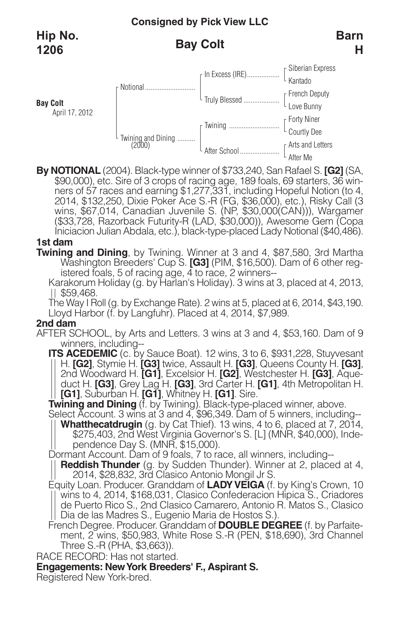**Bay Colt** April 17, 2012

# **Bay Colt**



**By NOTIONAL** (2004). Black-type winner of \$733,240, San Rafael S. **[G2]** (SA, \$90,000), etc. Sire of 3 crops of racing age, 189 foals, 69 starters, 36 winners of 57 races and earning \$1,277,331, including Hopeful Notion (to 4, 2014, \$132,250, Dixie Poker Ace S.-R (FG, \$36,000), etc.), Risky Call (3 wins, \$67,014, Canadian Juvenile S. (NP, \$30,000(CAN))), Wargamer (\$33,728, Razorback Futurity-R (LAD, \$30,000)), Awesome Gem (Copa Iniciacion Julian Abdala, etc.), black-type-placed Lady Notional (\$40,486).

# **1st dam**

**Twining and Dining**, by Twining. Winner at 3 and 4, \$87,580, 3rd Martha Washington Breeders' Cup S. **[G3]** (PIM, \$16,500). Dam of 6 other registered foals, 5 of racing age, 4 to race, 2 winners--

Karakorum Holiday (g. by Harlan's Holiday). 3 wins at 3, placed at 4, 2013, <br>|| \$59,468.

The Way I Roll (g. by Exchange Rate). 2 wins at 5, placed at 6, 2014, \$43,190. Lloyd Harbor (f. by Langfuhr). Placed at 4, 2014, \$7,989.

### **2nd dam**

- AFTER SCHOOL, by Arts and Letters. 3 wins at 3 and 4, \$53,160. Dam of 9 winners, including--
	- **ITS ACEDEMIC** (c. by Sauce Boat). 12 wins, 3 to 6, \$931,228, Stuyvesant || H. **[G2]**, Stymie H. **[G3]** twice, Assault H. **[G3]**, Queens County H. **[G3]** 2nd Woodward H. [G1], Excelsior H. [G2], Westchester H. [G3], Aqueduct H. [G3], Grey Lag H. [G3], 3rd Carter H. [G1], 4th Metropolitan H. [G1], Suburban H. [G1], Whitney H. [G1]. Sire.<br> **Twining and Dining** (f. by Twining)

Whatthecatdrugin (g. by Cat Thief). 13 wins, 4 to 6, placed at 7, 2014,<br>\$275,403, 2nd West Virginia Governor's S. [L] (MNR, \$40,000), Independence Day S. (MNR, \$15,000).<br>Dormant Account. Dam of 9 foals, 7 to race, all winn

**Reddish Thunder** (g. by Sudden Thunder). Winner at 2, placed at 4, 2014, \$28,832, 3rd Clasico Antonio Mongil Jr S. Equity Loan. Producer. Granddam of **LADY VEIGA** (f. by King's Crown, 10

wins to 4, 2014, \$168,031, Clasico Confederacion Hipica S., Criadores de Puerto Rico S., 2nd Clasico Camarero, Antonio R. Matos S., Clasico Dia de las Madres S., Eugenio Maria de Hostos S.).

French Degree. Producer. Granddam of **DOUBLE DEGREE** (f. by Parfaitement, 2 wins, \$50,983, White Rose S.-R (PEN, \$18,690), 3rd Channel Three S.-R (PHA, \$3,663)).

RACE RECORD: Has not started.

**Engagements: NewYork Breeders' F., Aspirant S.**

Registered New York-bred.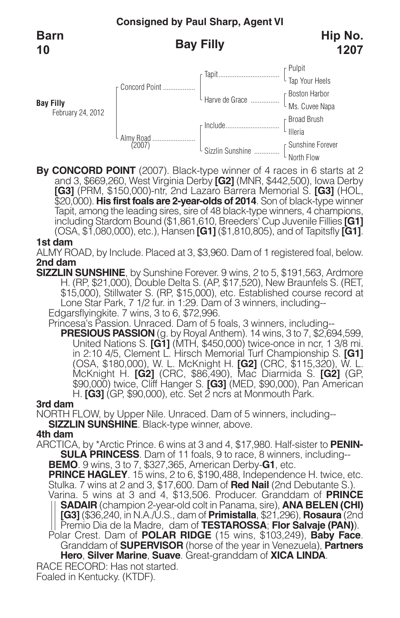**Barn 10**

**Bay Filly**

# **Bay Filly**



**By CONCORD POINT** (2007). Black-type winner of 4 races in 6 starts at 2 and 3, \$669,260, West Virginia Derby **[G2]** (MNR, \$442,500), Iowa Derby **[G3]** (PRM, \$150,000)-ntr, 2nd Lazaro Barrera Memorial S. **[G3]** (HOL, \$20,000). **His first foals are 2-year-olds of 2014**. Son of black-type winner including Stardom Bound (\$1,861,610, Breeders' Cup Juvenile Fillies **[G1]** (OSA, \$1,080,000), etc.), Hansen **[G1]** (\$1,810,805), and of Tapitsfly **[G1]**.

### **1st dam**

ALMY ROAD, by Include. Placed at 3, \$3,960. Dam of 1 registered foal, below. **2nd dam**

**SIZZLIN SUNSHINE**, by Sunshine Forever. 9 wins, 2 to 5, \$191,563, Ardmore H. (RP, \$21,000), Double Delta S. (AP, \$17,520), New Braunfels S. (RET, \$15,000), Stillwater S. (RP, \$15,000), etc. Established course record at Lone Star Park, 7 1/2 fur. in 1:29. Dam of 3 winners, including-- Edgarsflyingkite. 7 wins, 3 to 6, \$72,996.

Princesa's Passion. Unraced. Dam of 5 foals, 3 winners, including--

**PRESIOUS PASSION** (g. by Royal Anthem). 14 wins, 3 to 7, \$2,694,599, United Nations S. **[G1]** (MTH, \$450,000) twice-once in ncr, 1 3/8 mi. in 2:10 4/5, Clement L. Hirsch Memorial Turf Championship S. **[G1]** (OSA, \$180,000), W. L. McKnight H. **[G2]** (CRC, \$115,320), W. L. McKnight H. **[G2]** (CRC, \$86,490), Mac Diarmida S. **[G2]** (GP, \$90,000) twice, Cliff Hanger S. **[G3]** (MED, \$90,000), Pan American H. **[G3]** (GP, \$90,000), etc. Set 2 ncrs at Monmouth Park.

## **3rd dam**

NORTH FLOW, by Upper Nile. Unraced. Dam of 5 winners, including-- **SIZZLIN SUNSHINE**. Black-type winner, above.

## **4th dam**

ARCTICA, by \*Arctic Prince. 6 wins at 3 and 4, \$17,980. Half-sister to **PENIN-SULA PRINCESS**. Dam of 11 foals, 9 to race, 8 winners, including-- **BEMO**. 9 wins, 3 to 7, \$327,365, American Derby-**G1**, etc.

**PRINCE HAGLEY**. 15 wins, 2 to 6, \$190,488, Independence H. twice, etc. Stulka. 7 wins at 2 and 3, \$17,600. Dam of **Red Nail** (2nd Debutante S.).

Varina. 5 wins at 3 and 4, \$13,506. Producer. Granddam of **PRINCE SADAIR** (champion 2-year-old colt in Panama, sire), **ANA BELEN (CHI) [G3]** (\$36,240, in N.A./U.S., dam of **Primistalla**, \$21,296), **Rosaura** (2nd Premio Dia de la Madre, dam of **TESTAROSSA**; **Flor Salvaje (PAN)**). Polar Crest. Dam of **POLAR RIDGE** (15 wins, \$103,249), **Baby Face**.

Polar Crest. Dam of **POLAR RIDGE** (15 wins, \$103,249), **Baby Face.**<br>Granddam of **SUPERVISOR** (horse of the year in Venezuela), **Partners Hero**, **Silver Marine**, **Suave**. Great-granddam of **XICA LINDA**.

RACE RECORD: Has not started.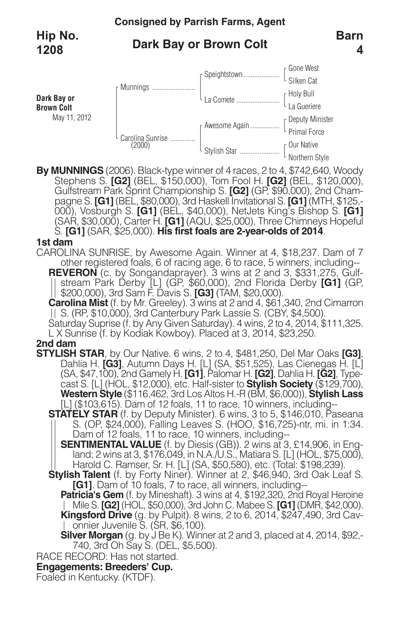# **Dark Bay or Brown Colt**



Stephens S. **[G2]** (BEL, \$150,000), Tom Fool H. **[G2]** (BEL, \$120,000), Gulfstream Park Sprint Championship S. **[G2]** (GP, \$90,000), 2nd Champagne S. **[G1]** (BEL, \$80,000), 3rd Haskell Invitational S. **[G1]** (MTH, \$125,- 000), Vosburgh S. **[G1]** (BEL, \$40,000), NetJets King's Bishop S. **[G1]** (SAR, \$30,000), Carter H. **[G1]** (AQU, \$25,000), Three Chimneys Hopeful S. **[G1]** (SAR, \$25,000). **His first foals are 2-year-olds of 2014**.

## **1st dam**

CAROLINA SUNRISE, by Awesome Again. Winner at 4, \$18,237. Dam of 7 other registered foals, 6 of racing age, 6 to race, 5 winners, including-- **REVERON** (c. by Songandaprayer). 3 wins at 2 and 3, \$331,275, Gulf-|| stream Park Derby [L] (GP, \$60,000), 2nd Florida Derby **[G1]** (GP, \$200,000), 3rd Sam F. Davis S. **[G3]** (TAM, \$20,000).<br>**Carolina Mist** (f. by Mr. Greeley). 3 wins at 2 and 4, \$61,340, 2nd Cimarron || S. (RP, \$10,000),

Saturday Suprise (f. by Any Given Saturday). 4 wins, 2 to 4, 2014, \$111,325. L<br>L X Sunrise (f. by Kodiak Kowboy). Placed at 3, 2014, \$23,250.

- **2nd dam**<br>STYLISH STAR, by Our Native. 6 wins, 2 to 4, \$481,250, Del Mar Oaks [G3], **STYLISH STAR**, by Our Native. <sup>6</sup> wins, <sup>2</sup> to 4, \$481,250, Del Mar Oaks **[G3]**, Dahlia H. **[G3]**, Autumn Days H. [L] (SA, \$51,525), Las Cienegas H. [L] (SA, \$47,100), 2nd Gamely H. **[G1]**, Palomar H. **[G2]**, Dahlia H. **[G2]**, Type- cast S. [L] (HOL, \$12,000), etc. Half-sister to **Stylish Society** (\$129,700), **Western Style** (\$116,462, 3rd Los Altos H.-R (BM, \$6,000)), **Stylish Lass** [L] (\$103,615). Dam of 12 foals, 11 to race, 10 winners, including--
	- **STATELY STAR** (f. by Deputy Minister). 6 wins, 3 to 5, \$146,010, Paseana S. (OP, \$24,000), Falling Leaves S. (HOO, \$16,725)-ntr, mi. in 1:34. Dam of 12 foals, 11 to race, 10 winners, including--
		- **SENTIMENTAL VALUE** (f. by Diesis (GB)). 2 wins at 3, £14,906, in England; 2 wins at 3, \$176,049, in N.A./U.S., Matiara S. [L] (HOL, \$75,000), Harold C. Ramser, Sr. H. [L] (SA, \$50,580), etc. (Total: \$198,239).
	- **Stylish Talent** (f. by Forty Niner). Winner at 2, \$46,940, 3rd Oak Leaf S. **[G1]**. Dam of 10 foals, 7 to race, all winners, including--
		- **Patricia's Gem** (f. by Mineshaft). 3 wins at 4, \$192,320, 2nd Royal Heroine Mile S. **[G2]** (HOL, \$50,000), 3rd John C. Mabee S. **[G1]** (DMR, \$42,000). **Kingsford Drive** (g. by Pulpit). 8 wins, 2 to 6, 2014, \$247,490, 3rd Cavonnier Juvenile S. (SR, \$6,100).
		- **Silver Morgan** (g. by J Be K). Winner at 2 and 3, placed at 4, 2014, \$92,-740, 3rd Oh Say S. (DEL, \$5,500).
- RACE RECORD: Has not started.

## **Engagements: Breeders' Cup.**

Foaled in Kentucky. (KTDF).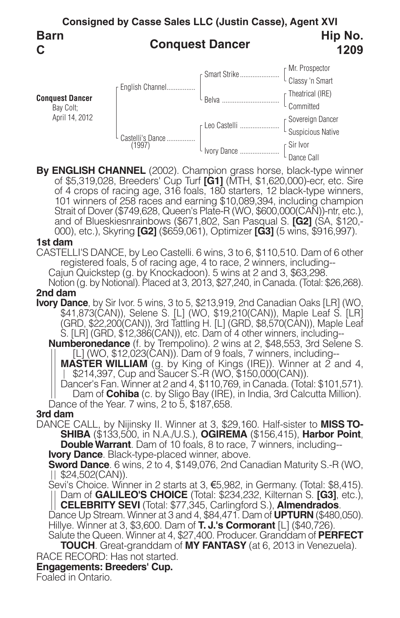

**By ENGLISH CHANNEL** (2002). Champion grass horse, black-type winner of \$5,319,028, Breeders' Cup Turf **[G1]** (MTH, \$1,620,000)-ecr, etc. Sire of 4 crops of racing age, 316 foals, 180 starters, 12 black-type winners, 101 winners of 258 races and earning \$10,089,394, including champion Strait of Dover (\$749,628, Queen's Plate-R (WO, \$600,000(CAN))-ntr, etc.),<br>and of Blueskiesnrainbows (\$671,802, San Pasqual S. [G2] (SA, \$120,-<br>000), etc.), Skyring [G2] (\$659,061), Optimizer [G3] (5 wins, \$916,997).

### **1st dam**

CASTELLI'S DANCE, by Leo Castelli. 6 wins, 3 to 6, \$110,510. Dam of 6 other registered foals, 5 of racing age, 4 to race, 2 winners, including-- Cajun Quickstep (g. by Knockadoon). 5 wins at 2 and 3, \$63,298. Notion (g. by Notional). Placed at 3, 2013, \$27,240, in Canada. (Total: \$26,268).

### **2nd dam**

**Ivory Dance**, by Sir Ivor. 5 wins, 3 to 5, \$213,919, 2nd Canadian Oaks [LR] (WO, \$41,873(CAN)), Selene S. [L] (WO, \$19,210(CAN)), Maple Leaf S. [LR] (GRD, \$22,200(CAN)), 3rd Tattling H. [L] (GRD, \$8,570(CAN)), Maple Leaf S. [LR] (GRD, \$12,386(CAN)), etc. Dam of 4 other winners, including--

**Numberonedance** (f. by Trempolino). 2 wins at 2, \$48,553, 3rd Selene S.<br>|| [L] (WO, \$12,023(CAN)). Dam of 9 foals, 7 winners, including--

**MASTER WILLIAM** (g. by King of Kings (IRE)). Winner at 2 and 4,<br>
| \$214,397, Cup and Saucer S.-R (WO, \$150,000(CAN)).<br>
Dancer's Fan. Winner at 2 and 4, \$110,769, in Canada. (Total: \$101,571).<br>
Dam of **Cohiba** (c. by Sligo

**3rd dam** DANCE CALL, by Nijinsky II. Winner at 3, \$29,160. Half-sister to **MISS TO-**<br> **SHIBA** (\$133,500, in N.A./U.S.), **OGIREMA** (\$156,415), **Harbor Point,**<br> **Double Warrant**. Dam of 10 foals, 8 to race, 7 winners, including-<br> **l** 

Dance Up Stream. Winner at 3 and 4, \$84,471. Dam of **UPTURN** (\$480,050).<br>Hillye. Winner at 3, \$3,600. Dam of **T. J.'s Cormorant** [L] (\$40,726).<br>Salute the Queen. Winner at 4, \$27,400. Producer. Granddam of **PERFECT** 

**TOUCH**. Great-granddam of **MY FANTASY** (at 6, 2013 in Venezuela).

RACE RECORD: Has not started.

## **Engagements: Breeders' Cup.**

Foaled in Ontario.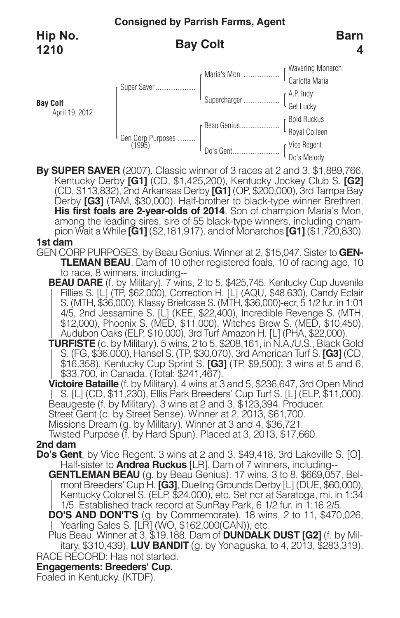**Bay Colt**

# **Bay Colt**



**By SUPER SAVER** (2007). Classic winner of 3 races at 2 and 3, \$1,889,766, Kentucky Derby **[G1]** (CD, \$1,425,200), Kentucky Jockey Club S. **[G2]** (CD, \$113,832), 2nd Arkansas Derby **[G1]** (OP, \$200,000), 3rd Tampa Bay His first foals are 2-year-olds of 2014. Son of champion Maria's Mon,<br>among the leading sires, sire of 55 black-type winners, including cham-<br>pion Wait a While [G1] (\$2,181,917), and of Monarchos [G1] (\$1,720,830). **1st dam**

GEN CORP PURPOSES, by Beau Genius. Winner at 2, \$15,047. Sister to **GEN-TLEMAN BEAU**. Dam of 10 other registered foals, 10 of racing age, 10 to race, 8 winners, including--

**BEAU DARE** (f. by Military). 7 wins, 2 to 5, \$425,745, Kentucky Cup Juvenile Fillies S. [L] (TP, \$62,000), Correction H. [L] (AQU, \$48,630), Candy Eclair S. (MTH, \$36,000), Klassy Briefcase S. (MTH, \$36,000)-ecr, 5 1/2 fur. in 1:01 4/5, 2nd Jessamine S. [L] (KEE, \$22,400), Incredible Revenge S. (MTH, \$12,000), Phoenix S. (MED, \$11,000), Witches Brew S. (MED, \$10,450), Audubon Oaks (ELP, \$10,000), 3rd Turf Amazon H. [L] (PHA, \$22,000).

**TURFISTE** (c. by Military). 5 wins, 2 to 5, \$208,161, in N.A./U.S., Black Gold || S. (FG, \$36,000), Hansel S. (TP, \$30,070), 3rd American Turf S. **[G3]** (CD,<br>|| \$16,358), Kentucky Cup Sprint S. **[G3]** (TP, \$9,500); 3 wins at 5 and 6,<br>|| \$33,700, in Canada. (Total: \$241,467).

**Victoire Bataille** (f. by Military). 4 wins at 3 and 5, \$236,647, 3rd Open Mind<br>|| S. [L] (CD, \$11,230), Ellis Park Breeders' Cup Turf S. [L] (ELP, \$11,000). Beaugeste (f. by Military). 3 wins at 2 and 3, \$123,394. Producer.<br>Street Gent (c. by Street Sense). Winner at 2, 2013, \$61,700.<br>Missions Dream (g. by Military). Winner at 3 and 4, \$36,721.<br>Twisted Purpose (f. by Hard Spun

2nd dam<br>Do's Gent, by Vice Regent. 3 wins at 2 and 3, \$49,418, 3rd Lakeville S. [O].

Half-sister to **Andrea Ruckus** [LR]. Dam of 7 winners, including-<br> **GENTLEMAN BEAU** (g. by Beau Genius). 17 wins, 3 to 8, \$669,057, Bel-<br>
|| mont Breeders' Cup H. **[G3]**, Dueling Grounds Derby [L] (DUE, \$60,000),<br>
| Kentuc 1/5. Established track record at SunRay Park, 6 1/2 fur. in 1:16 2/5.

**DO'S AND DON'T'S** (g. by Commemorate). 18 wins, 2 to 11, \$470,026, Yearling Sales S. [LR] (WO, \$162,000(CAN)), etc.

RACE RECORD: Has not started. Plus Beau. Winner at 3, \$19,188. Dam of **DUNDALK DUST [G2]** (f. by Military, \$310,439), **LUV BANDIT** (g. by Yonaguska, to 4, 2013, \$283,319).

# **Engagements: Breeders' Cup.**

Foaled in Kentucky. (KTDF).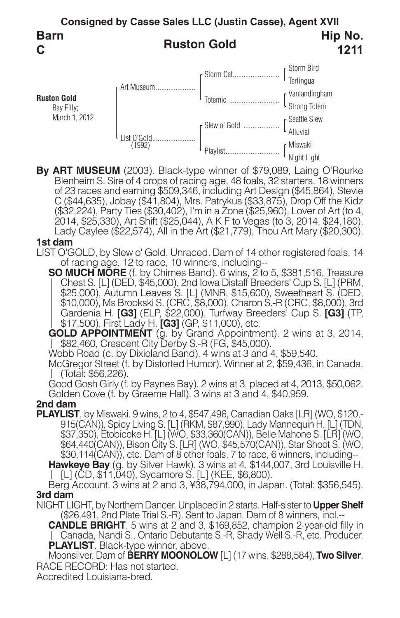

**By ART MUSEUM** (2003). Black-type winner of \$79,089, Laing O'Rourke Blenheim S. Sire of 4 crops of racing age, 48 foals, 32 starters, 18 winners of 23 races and earning \$509,346, including Art Design (\$45,864), Stevie C (\$44,635), Jobay (\$41,804), Mrs. Patrykus (\$33,875), Drop Off the Kidz (\$32,224), Party Ties (\$30,402), I'm in a Zone (\$25,960), Lover of Art (to 4,<br>2014, \$25,330), Art Shift (\$25,044), A K F to Vegas (to 3, 2014, \$24,180),<br>Lady Caylee (\$22,574), All in the Art (\$21,779), Thou Art Mary (\$20,3

### **1st dam**

LIST O'GOLD, by Slew o' Gold. Unraced. Dam of 14 other registered foals, 14 of racing age, 12 to race, 10 winners, including--

**SO MUCH MORE** (f. by Chimes Band). 6 wins, 2 to 5, \$381,516, Treasure Chest S. [L] (DED, \$45,000), 2nd Iowa Distaff Breeders' Cup S. [L] (PRM, \$25,000), Autumn Leaves S. [L] (MNR, \$15,600), Sweetheart S. (DED, \$10,000), Ms Brookski S. (CRC, \$8,000), Charon S.-R (CRC, \$8,000), 3rd Gardenia H. **[G3]** (ELP, \$22,000), Turfway Breeders' Cup S. **[G3]** (TP, \$17,500), First Lady H. **[G3]** (GP, \$11,000), etc.

**GOLD APPOINTMENT** (g. by Grand Appointment). 2 wins at 3, 2014, \$82,460, Crescent City Derby S.-R (FG, \$45,000).

Webb Road (c. by Dixieland Band). 4 wins at 3 and 4, \$59,540.

McGregor Street (f. by Distorted Humor). Winner at 2, \$59,436, in Canada. (Total: \$56,226).

Good Gosh Girly (f. by Paynes Bay). 2 wins at 3, placed at 4, 2013, \$50,062. Golden Cove (f. by Graeme Hall). 3 wins at 3 and 4, \$40,959.

## **2nd dam**

**PLAYLIST**, by Miswaki. 9 wins, 2 to 4, \$547,496, Canadian Oaks [LR] (WO, \$120,- 915(CAN)), Spicy Living S. [L] (RKM, \$87,990), Lady Mannequin H. [L] (TDN, \$37,350), Etobicoke H. [L] (WO, \$33,360(CAN)), Belle Mahone S. [LR] (WO, \$64,440(CAN)), Bison City S. [LR] (WO, \$45,570(CAN)), Star Shoot S. (WO, \$30,114(CAN)), etc. Dam of 8 other foals, 7 to race, 6 winners, including-- **Hawkeye Bay** (g. by Silver Hawk). 3 wins at 4, \$144,007, 3rd Louisville H. [L] (CD, \$11,040), Sycamore S. [L] (KEE, \$6,800).

Berg Account. 3 wins at 2 and 3, ¥38,794,000, in Japan. (Total: \$356,545). **3rd dam**

NIGHT LIGHT, by Northern Dancer. Unplaced in 2 starts. Half-sister to **Upper Shelf** (\$26,491, 2nd Plate Trial S.-R). Sent to Japan. Dam of 8 winners, incl.--

**CANDLE BRIGHT**. 5 wins at 2 and 3, \$169,852, champion 2-year-old filly in Canada, Nandi S., Ontario Debutante S.-R, Shady Well S.-R, etc. Producer.

RACE RECORD: Has not started. **PLAYLIST**. Black-type winner, above. Moonsilver. Dam of **BERRY MOONOLOW** [L] (17 wins, \$288,584), **Two Silver**.

Accredited Louisiana-bred.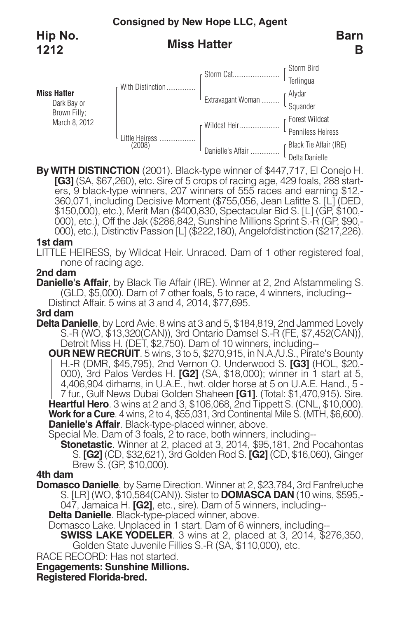# **Miss Hatter**



**ByWITH DISTINCTION** (2001). Black-type winner of \$447,717, El Conejo H. **[G3]** (SA, \$67,260), etc. Sire of 5 crops of racing age, 429 foals, 288 starters, 9 black-type winners, 207 winners of 555 races and earning \$12,- 360,071, including Decisive Moment (\$755,056, Jean Lafitte S. [L] (DED, \$150,000), etc.), Merit Man (\$400,830, Spectacular Bid S. [L] (GP, \$100,-000), etc.), Off the Jak (\$286,842, Sunshine Millions Sprint S.-R (GP, \$90,-0

### **1st dam**

LITTLE HEIRESS, by Wildcat Heir. Unraced. Dam of 1 other registered foal, none of racing age.

### **2nd dam**

**Danielle's Affair**, by Black Tie Affair (IRE). Winner at 2, 2nd Afstammeling S.<br>(GLD, \$5,000). Dam of 7 other foals, 5 to race, 4 winners, including--<br>Distinct Affair. 5 wins at 3 and 4, 2014, \$77,695.

### **3rd dam**

**Delta Danielle**, by Lord Avie. 8 wins at 3 and 5, \$184,819, 2nd Jammed Lovely S.-R (WO, \$13,320(CAN)), 3rd Ontario Damsel S.-R (FE, \$7,452(CAN)), Detroit Miss H. (DET, \$2,750). Dam of <sup>10</sup> winners, including--

**OUR NEW RECRUIT**. 5 wins, 3 to 5, \$270,915, in N.A./U.S., Pirate's Bounty || H.-R (DMR, \$45,795), 2nd Vernon O. Underwood S. **[G3]** (HOL, \$20,-000), 3rd Palos Verdes H. **[G2]** (SA, \$18,000); winner in 1 start at 5, 4,406,904 dirhams, in U.A.E., hwt. older horse at 5 on U.A.E. Hand., 5 - 7 fur., Gulf News Dubai Golden Shaheen **[G1]**. (Total: \$1,470,915). Sire. **He Work for a Cure**. 4 wins, 2 to 4, \$55,031, 3rd Continental Mile S. (MTH, \$6,600). **Danielle's Affair**. Black-type-placed winner, above.

Special Me. Dam of 3 foals, 2 to race, both winners, including--

**Stonetastic**. Winner at 2, placed at 3, 2014, \$95,181, 2nd Pocahontas S. **[G2]** (CD, \$32,621), 3rd Golden Rod S. **[G2]** (CD, \$16,060), Ginger Brew S. (GP, \$10,000).

### **4th dam**

**Domasco Danielle**, by Same Direction. Winner at 2, \$23,784, 3rd Fanfreluche S. [LR] (WO, \$10,584(CAN)). Sister to **DOMASCA DAN** (10 wins, \$595,- 047, Jamaica H. **[G2]**, etc., sire). Dam of 5 winners, including--

**Delta Danielle**. Black-type-placed winner, above.

Domasco Lake. Unplaced in 1 start. Dam of 6 winners, including--

**SWISS LAKE YODELER**. 3 wins at 2, placed at 3, 2014, \$276,350, Golden State Juvenile Fillies S.-R (SA, \$110,000), etc.

RACE RECORD: Has not started.

**Engagements: Sunshine Millions.**

**Registered Florida-bred.**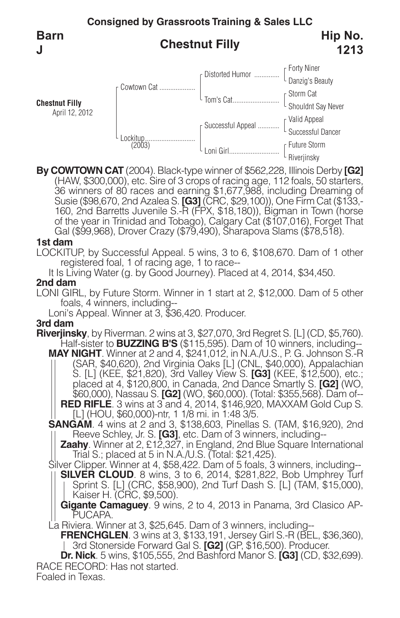**Consigned by Grassroots Training & Sales LLC Chestnut Filly** Forty Niner Danzig's Beauty Storm Cat Shouldnt Say Never Valid Appeal Successful Dancer Future Storm Distorted Humor .............. Tom's Cat.......................... Successful Appeal ............ Loni Girl............................ Cowtown Cat .................... Lockitup............................ (2003) **Chestnut Filly** April 12, 2012 **Barn J Hip No. 1213**

**By COWTOWN CAT** (2004). Black-type winner of \$562,228, Illinois Derby **[G2]** (HAW, \$300,000), etc. Sire of 3 crops of racing age, 112 foals, 50 starters, 36 winners of 80 races and earning \$1,677,988, including Dreaming of Susie (\$98,670, 2nd Azalea S. **[G3]** (CRC, \$29,100)), One Firm Cat (\$133,-<br>160, 2nd Barretts Juvenile S.-R (FPX, \$18,180)), Bigman in Town (horse of the year in Trinidad and Tobago), Calgary Cat (\$107,016), Forget That Gal (\$99,968), Drover Crazy (\$79,490), Sharapova Slams (\$78,518).

Riveriinsky

### **1st dam**

LOCKITUP, by Successful Appeal. 5 wins, 3 to 6, \$108,670. Dam of 1 other registered foal, 1 of racing age, 1 to race--

It Is Living Water (g. by Good Journey). Placed at 4, 2014, \$34,450.

### **2nd dam**

LONI GIRL, by Future Storm. Winner in 1 start at 2, \$12,000. Dam of 5 other foals, 4 winners, including--

Loni's Appeal. Winner at 3, \$36,420. Producer.

## **3rd dam**

**Riverjinsky**, by Riverman. 2 wins at 3, \$27,070, 3rd Regret S. [L] (CD, \$5,760). Half-sister to **BUZZING B'S** (\$115,595). Dam of 10 winners, including--

**MAY NIGHT**. Winner at 2 and 4, \$241,012, in N.A./U.S., P. G. Johnson S.-R (SAR, \$40,620), 2nd Virginia Oaks [L] (CNL, \$40,000), Appalachian S. [L] (KEE, \$21,820), 3rd Valley View S. **[G3]** (KEE, \$12,500), etc.; placed at 4, \$120,800, in Canada, 2nd Dance Smartly S. **[G2]** (WO, \$60,000), Nassau S. **[G2]** (WO, \$60,000). (Total: \$355,568). Dam of-- **RED RIFLE**. 3 wins at 3 and 4, 2014, \$146,920, MAXXAM Gold Cup S. [L] (HOU, \$60,000)-ntr, 1 1/8 mi. in 1:48 3/5.

**SANGAM**. 4 wins at 2 and 3, \$138,603, Pinellas S. (TAM, \$16,920), 2nd Reeve Schley, Jr. S. **[G3]**, etc. Dam of 3 winners, including--

**Zaahy**. Winner at 2, £12,327, in England, 2nd Blue Square International Trial S.; placed at 5 in N.A./U.S. (Total: \$21,425).

Silver Clipper. Winner at 4, \$58,422. Dam of 5 foals, 3 winners, including-- **SILVER CLOUD**. 8 wins, 3 to 6, 2014, \$281,822, Bob Umphrey Turf Sprint S. [L] (CRC, \$58,900), 2nd Turf Dash S. [L] (TAM, \$15,000), Kaiser H. (CRC, \$9,500).

**Gigante Camaguey**. 9 wins, 2 to 4, 2013 in Panama, 3rd Clasico AP-

La Riviera. Winner at 3, \$25,645. Dam of 3 winners, including--

**FRENCHGLEN**. 3 wins at 3, \$133,191, Jersey Girl S.-R (BEL, \$36,360), 3rd Stonerside Forward Gal S. **[G2]** (GP, \$16,500). Producer.

Foaled in Texas. RACE RECORD: Has not started. **Dr. Nick**. 5 wins, \$105,555, 2nd Bashford Manor S. **[G3]** (CD, \$32,699).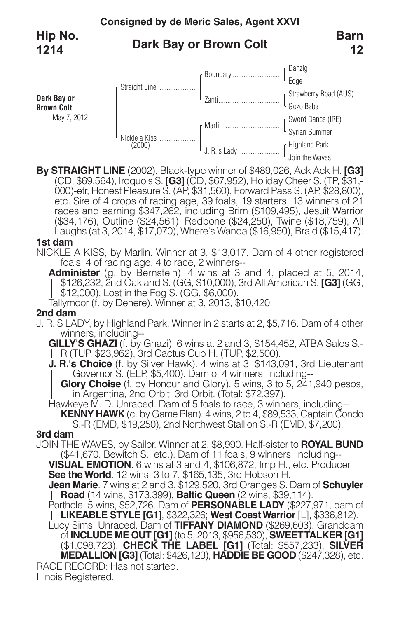### **Consigned by de Meric Sales, Agent XXVI Dark Bay or Brown Colt** Danzig Edge Strawberry Road (AUS) Gozo Baba Sword Dance (IRE) Syrian Summer Highland Park Join the Waves Boundary.......................... Zanti.................................. Marlin .............................. J. R.'s Lady ...................... Straight Line .................... Nickle <sup>a</sup> Kiss .................... (2000) **Dark Bay or Brown Colt** May 7, 2012 **Barn 12 Hip No. 1214**

**By STRAIGHT LINE** (2002). Black-type winner of \$489,026, Ack Ack H. **[G3]** (CD, \$69,564), Iroquois S. **[G3]** (CD, \$67,952), Holiday Cheer S. (TP, \$31,- 000)-etr, Honest Pleasure S. (AP, \$31,560), Forward Pass S. (AP, \$28,800), etc. Sire of 4 crops of racing age, 39 foals, 19 starters, 13 winners of 21 races and earning \$347,262, including Brim (\$109,495), Jesuit Warrior (\$34,176), Outline (\$24,561), Redbone (\$24,250), Twine (\$18,759), All Laughs (at 3, 2014, \$17,070), Where's Wanda (\$16,950), Braid (\$15,417).

### **1st dam**

NICKLE A KISS, by Marlin. Winner at 3, \$13,017. Dam of 4 other registered foals, 4 of racing age, 4 to race, 2 winners--

**Administer** (g. by Bernstein). 4 wins at 3 and 4, placed at 5, 2014, \$126,232, 2nd Oakland S. (GG, \$10,000), 3rd All American S. **[G3]** (GG, \$12,000), Lost in the Fog S. (GG, \$6,000).

Tallymoor (f. by Dehere). Winner at 3, 2013, \$10,420.

## **2nd dam**

J. R.'S LADY, by Highland Park. Winner in 2 starts at 2, \$5,716. Dam of 4 other winners, including--

**GILLY'S GHAZI** (f. by Ghazi). 6 wins at 2 and 3, \$154,452, ATBA Sales S.- R (TUP, \$23,962), 3rd Cactus Cup H. (TUP, \$2,500).

**J. R.'s Choice** (f. by Silver Hawk). 4 wins at 3, \$143,091, 3rd Lieutenant Governor S. (ELP, \$5,400). Dam of 4 winners, including--

**Glory Choise** (f. by Honour and Glory). 5 wins, 3 to 5, 241,940 pesos, in Argentina, 2nd Orbit, 3rd Orbit. (Total: \$72,397).

Hawkeye M. D. Unraced. Dam of 5 foals to race, 3 winners, including-- **KENNY HAWK** (c. by Game Plan). 4 wins, 2 to 4, \$89,533, Captain Condo S.-R (EMD, \$19,250), 2nd Northwest Stallion S.-R (EMD, \$7,200).

### **3rd dam**

JOIN THE WAVES, by Sailor. Winner at 2, \$8,990. Half-sister to **ROYAL BUND** (\$41,670, Bewitch S., etc.). Dam of 11 foals, 9 winners, including--

**VISUAL EMOTION**. 6 wins at 3 and 4, \$106,872, Imp H., etc. Producer. **See theWorld**. 12 wins, 3 to 7, \$165,135, 3rd Hobson H.

**Jean Marie**. 7 wins at 2 and 3, \$129,520, 3rd Oranges S. Dam of **Schuyler**

**Porthole. 5 wins, \$52,726. Dam of <b>PERSONABLE LADY** (\$227,971, dam of **LIKEABLE STYLE [G1]**, \$322,326; **West CoastWarrior** [L], \$336,812).

RACE RECORD: Has not started. Lucy Sims. Unraced. Dam of **TIFFANY DIAMOND** (\$269,603). Granddam of **INCLUDE ME OUT [G1]** (to 5, 2013, \$956,530), **SWEETTALKER [G1]** (\$1,098,723), **CHECK THE LABEL [G1]** (Total: \$557,233), **SILVER MEDALLION [G3]** (Total: \$426,123), **HADDIE BE GOOD** (\$247,328), etc.

Illinois Registered.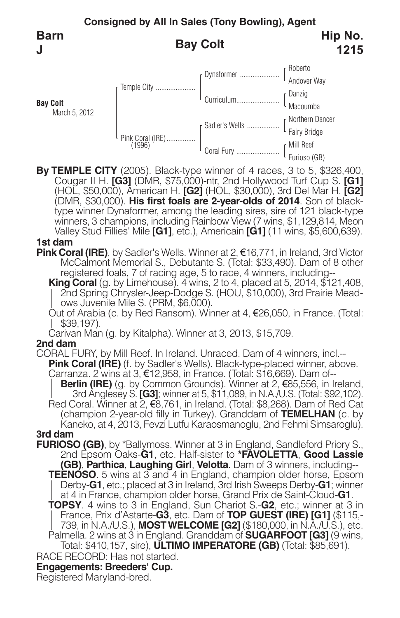**Consigned by All In Sales (Tony Bowling), Agent Bay Colt** Roberto Andover Way Danzig Macoumba Northern Dancer Fairy Bridge Mill Reef Furioso (GB) Dynaformer ...................... Curriculum....................... Sadler's Wells .................. Coral Fury ......................... Temple City ...................... Pink Coral (IRE)................ (1996) **Bay Colt** March 5, 2012 **Barn J Hip No. 1215**

**By TEMPLE CITY** (2005). Black-type winner of 4 races, 3 to 5, \$326,400, Cougar II H. **[G3]** (DMR, \$75,000)-ntr, 2nd Hollywood Turf Cup S. **[G1]** (HOL, \$50,000), American H. **[G2]** (HOL, \$30,000), 3rd Del Mar H. **[G2]** (DMR, \$30,000). **His first foals are 2-year-olds of <sup>2014</sup>**. Son of black- type winner Dynaformer, among the leading sires, sire of <sup>121</sup> black-type winners, 3 champions, including Rainbow View (7 wins, \$1,129,814, Meon Valley Stud Fillies' Mile **[G1]**, etc.), Americain **[G1]** (11 wins, \$5,600,639).

### **1st dam**

**Pink Coral (IRE)**, by Sadler's Wells. Winner at 2, €16,771, in Ireland, 3rd Victor McCalmont Memorial S., Debutante S. (Total: \$33,490). Dam of 8 other registered foals, 7 of racing age, 5 to race, 4 winners, including--

**King Coral** (g. by Limehouse). 4 wins, 2 to 4, placed at 5, 2014, \$121,408,<br>| 2nd Spring Chrysler-Jeep-Dodge S. (HOU, \$10,000), 3rd Prairie Mead-<br>| ows Juvenile Mile S. (PRM, \$6,000).<br>Out of Arabia (c. by Red Ransom). Wi

Carivan Man (g. by Kitalpha). Winner at 3, 2013, \$15,709.

## **2nd dam**

CORAL FURY, by Mill Reef. In Ireland. Unraced. Dam of 4 winners, incl.-- **Pink Coral (IRE)** (f. by Sadler's Wells). Black-type-placed winner, above.<br>Carranza. 2 wins at 3, €12,958, in France. (Total: \$16,669). Dam of--<br>|| **Berlin (IRE)** (g. by Common Grounds). Winner at 2, €85,556, in Ireland,

3rd Anglesey S. **[G3]**; winner at 5, \$11,089, in N.A./U.S. (Total: \$92,102). Red Coral. Winner at 2, €8,761, in Ireland. (Total: \$8,268). Dam of Red Cat (champion 2-year-old filly in Turkey). Granddam of **TEMELHAN** (c. by Kaneko, at 4, 2013, Fevzi Lutfu Karaosmanoglu, 2nd Fehmi Simsaroglu).

**3rd dam**

**Engagements: Breeders' Cup.** RACE RECORD: Has not started. **FURIOSO (GB)**, by \*Ballymoss. Winner at <sup>3</sup> in England, Sandleford Priory S., 2nd Epsom Oaks-**G1**, etc. Half-sister to **\*FAVOLETTA**, **Good Lassie (GB)**, **Parthica**, **Laughing Girl**, **Velotta**. Dam of 3 winners, including-- **TEENOSO**. 5 wins at 3 and 4 in England, champion older horse, Epsom Derby-**G1**, etc.; placed at 3 in Ireland, 3rd Irish Sweeps Derby-**G1**; winner at 4 in France, champion older horse, Grand Prix de Saint-Cloud-**G1**. **TOPSY**. 4 wins to 3 in England, Sun Chariot S.-**G2**, etc.; winner at 3 in France, Prix d'Astarte-**G3**, etc. Dam of **TOP GUEST (IRE) [G1]** (\$115,- 739, in N.A./U.S.), **MOSTWELCOME [G2]** (\$180,000, in N.A./U.S.), etc. Palmella. 2 wins at 3 in England. Granddam of **SUGARFOOT [G3]** (9 wins, Total: \$410,157, sire), **ULTIMO IMPERATORE (GB)** (Total: \$85,691).

Registered Maryland-bred.